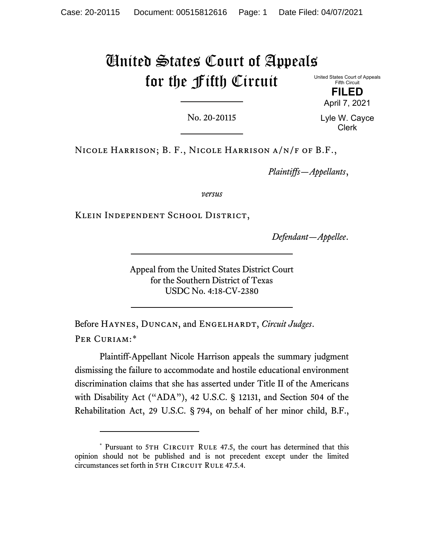# United States Court of Appeals for the Fifth Circuit

United States Court of Appeals Fifth Circuit

> **FILED** April 7, 2021

No. 20-20115

Lyle W. Cayce Clerk

Nicole Harrison; B. F., Nicole Harrison a/n/f of B.F.,

*Plaintiffs—Appellants*,

*versus*

Klein Independent School District,

*Defendant—Appellee*.

Appeal from the United States District Court for the Southern District of Texas USDC No. 4:18-CV-2380

Before HAYNES, DUNCAN, and ENGELHARDT, *Circuit Judges*. PER CURIAM:[\\*](#page-0-0)

Plaintiff-Appellant Nicole Harrison appeals the summary judgment dismissing the failure to accommodate and hostile educational environment discrimination claims that she has asserted under Title II of the Americans with Disability Act ("ADA"), 42 U.S.C. § 12131, and Section 504 of the Rehabilitation Act, 29 U.S.C. § 794, on behalf of her minor child, B.F.,

<span id="page-0-0"></span><sup>\*</sup> Pursuant to 5TH CIRCUIT RULE 47.5, the court has determined that this opinion should not be published and is not precedent except under the limited circumstances set forth in 5TH CIRCUIT RULE 47.5.4.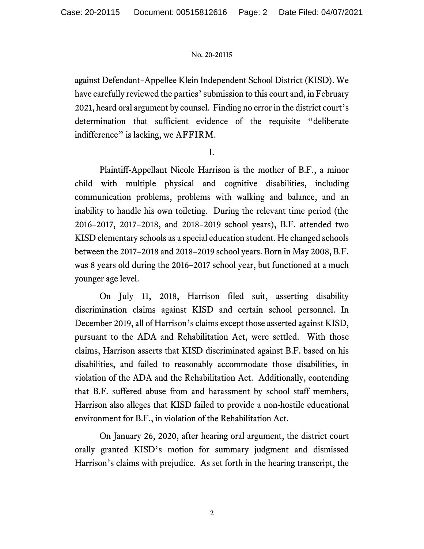against Defendant–Appellee Klein Independent School District (KISD). We have carefully reviewed the parties' submission to this court and, in February 2021, heard oral argument by counsel. Finding no error in the district court's determination that sufficient evidence of the requisite "deliberate indifference" is lacking, we AFFIRM.

I.

Plaintiff-Appellant Nicole Harrison is the mother of B.F., a minor child with multiple physical and cognitive disabilities, including communication problems, problems with walking and balance, and an inability to handle his own toileting. During the relevant time period (the 2016–2017, 2017–2018, and 2018–2019 school years), B.F. attended two KISD elementary schools as a special education student. He changed schools between the 2017–2018 and 2018–2019 school years. Born in May 2008, B.F. was 8 years old during the 2016–2017 school year, but functioned at a much younger age level.

On July 11, 2018, Harrison filed suit, asserting disability discrimination claims against KISD and certain school personnel. In December 2019, all of Harrison's claims except those asserted against KISD, pursuant to the ADA and Rehabilitation Act, were settled. With those claims, Harrison asserts that KISD discriminated against B.F. based on his disabilities, and failed to reasonably accommodate those disabilities, in violation of the ADA and the Rehabilitation Act. Additionally, contending that B.F. suffered abuse from and harassment by school staff members, Harrison also alleges that KISD failed to provide a non-hostile educational environment for B.F., in violation of the Rehabilitation Act.

On January 26, 2020, after hearing oral argument, the district court orally granted KISD's motion for summary judgment and dismissed Harrison's claims with prejudice. As set forth in the hearing transcript, the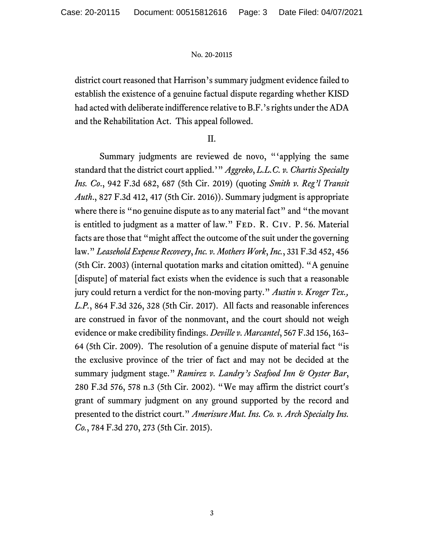district court reasoned that Harrison's summary judgment evidence failed to establish the existence of a genuine factual dispute regarding whether KISD had acted with deliberate indifference relative to B.F.'s rights under the ADA and the Rehabilitation Act. This appeal followed.

# II.

Summary judgments are reviewed de novo, "'applying the same standard that the district court applied.'" *Aggreko*, *L.L.C. v. Chartis Specialty Ins. Co*., 942 F.3d 682, 687 (5th Cir. 2019) (quoting *Smith v. Reg'l Transit Auth*., 827 F.3d 412, 417 (5th Cir. 2016)). Summary judgment is appropriate where there is "no genuine dispute as to any material fact" and "the movant is entitled to judgment as a matter of law." FED. R. CIV. P. 56. Material facts are those that "might affect the outcome of the suit under the governing law." *Leasehold Expense Recovery*, *Inc. v. Mothers Work*, *Inc.*, 331 F.3d 452, 456 (5th Cir. 2003) (internal quotation marks and citation omitted). "A genuine [dispute] of material fact exists when the evidence is such that a reasonable jury could return a verdict for the non-moving party." *Austin v. Kroger Tex., L.P.*, 864 F.3d 326, 328 (5th Cir. 2017). All facts and reasonable inferences are construed in favor of the nonmovant, and the court should not weigh evidence or make credibility findings. *Deville v. Marcantel*, 567 F.3d 156, 163– 64 (5th Cir. 2009). The resolution of a genuine dispute of material fact "is the exclusive province of the trier of fact and may not be decided at the summary judgment stage." *Ramirez v. Landry's Seafood Inn & Oyster Bar*, 280 F.3d 576, 578 n.3 (5th Cir. 2002). "We may affirm the district court's grant of summary judgment on any ground supported by the record and presented to the district court." *Amerisure Mut. Ins. Co. v. Arch Specialty Ins. Co.*, 784 F.3d 270, 273 (5th Cir. 2015).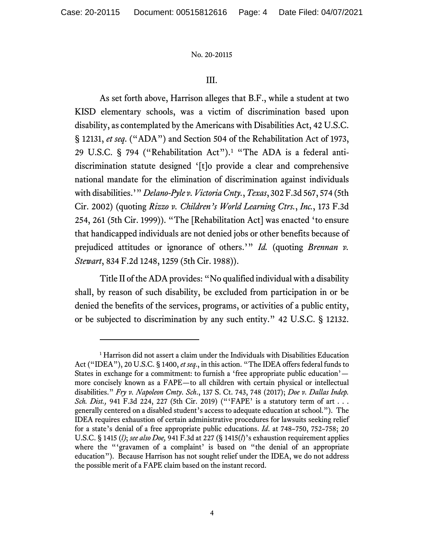# III.

As set forth above, Harrison alleges that B.F., while a student at two KISD elementary schools, was a victim of discrimination based upon disability, as contemplated by the Americans with Disabilities Act, 42 U.S.C. § 12131, *et seq*. ("ADA") and Section 504 of the Rehabilitation Act of 1973, 29 U.S.C. § 794 ("Rehabilitation Act").<sup>[1](#page-3-0)</sup> "The ADA is a federal antidiscrimination statute designed '[t]o provide a clear and comprehensive national mandate for the elimination of discrimination against individuals with disabilities.'" *Delano-Pyle v. Victoria Cnty.*, *Texas*, 302 F.3d 567, 574 (5th Cir. 2002) (quoting *Rizzo v. Children's World Learning Ctrs.*, *Inc.*, 173 F.3d 254, 261 (5th Cir. 1999)). "The [Rehabilitation Act] was enacted 'to ensure that handicapped individuals are not denied jobs or other benefits because of prejudiced attitudes or ignorance of others.'" *Id.* (quoting *Brennan v. Stewart*, 834 F.2d 1248, 1259 (5th Cir. 1988)).

Title II of the ADA provides: "No qualified individual with a disability shall, by reason of such disability, be excluded from participation in or be denied the benefits of the services, programs, or activities of a public entity, or be subjected to discrimination by any such entity." 42 U.S.C. § 12132.

<span id="page-3-0"></span><sup>&</sup>lt;sup>1</sup> Harrison did not assert a claim under the Individuals with Disabilities Education Act ("IDEA"), 20 U.S.C. § 1400, *et seq*., in this action. "The IDEA offers federal funds to States in exchange for a commitment: to furnish a 'free appropriate public education' more concisely known as a FAPE—to all children with certain physical or intellectual disabilities." *Fry v. Napoleon Cmty*. *Sch*., 137 S. Ct. 743, 748 (2017); *Doe v. Dallas Indep. Sch. Dist.*, 941 F.3d 224, 227 (5th Cir. 2019) ("FAPE' is a statutory term of art . . . generally centered on a disabled student's access to adequate education at school."). The IDEA requires exhaustion of certain administrative procedures for lawsuits seeking relief for a state's denial of a free appropriate public educations. *Id*. at 748–750, 752–758; 20 U.S.C. § 1415 (*l)*; *see also Doe,* 941 F.3d at 227 (§ 1415(*l*)'s exhaustion requirement applies where the "'gravamen of a complaint' is based on "the denial of an appropriate education"). Because Harrison has not sought relief under the IDEA, we do not address the possible merit of a FAPE claim based on the instant record.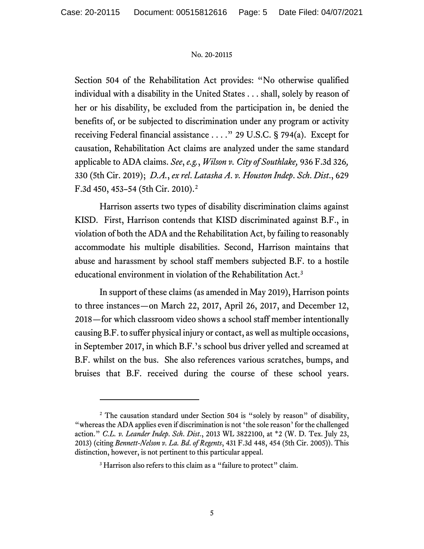Section 504 of the Rehabilitation Act provides: "No otherwise qualified individual with a disability in the United States . . . shall, solely by reason of her or his disability, be excluded from the participation in, be denied the benefits of, or be subjected to discrimination under any program or activity receiving Federal financial assistance . . . ." 29 U.S.C. § 794(a). Except for causation, Rehabilitation Act claims are analyzed under the same standard applicable to ADA claims. *See*, *e.g.*, *Wilson v. City of Southlake,* 936 F.3d 326*,* 330 (5th Cir. 2019); *D.A.*, *ex rel*. *Latasha A*. *v. Houston Indep*. *Sch*. *Dist*., 629 F.3d 450, 453–54 (5th Cir. 2010).[2](#page-4-0) 

Harrison asserts two types of disability discrimination claims against KISD. First, Harrison contends that KISD discriminated against B.F., in violation of both the ADA and the Rehabilitation Act, by failing to reasonably accommodate his multiple disabilities. Second, Harrison maintains that abuse and harassment by school staff members subjected B.F. to a hostile educational environment in violation of the Rehabilitation Act.[3](#page-4-1)

In support of these claims (as amended in May 2019), Harrison points to three instances—on March 22, 2017, April 26, 2017, and December 12, 2018—for which classroom video shows a school staff member intentionally causing B.F. to suffer physical injury or contact, as well as multiple occasions, in September 2017, in which B.F.'s school bus driver yelled and screamed at B.F. whilst on the bus. She also references various scratches, bumps, and bruises that B.F. received during the course of these school years.

<span id="page-4-1"></span><span id="page-4-0"></span><sup>&</sup>lt;sup>2</sup> The causation standard under Section 504 is "solely by reason" of disability, "whereas the ADA applies even if discrimination is not 'the sole reason' for the challenged action." *C.L. v. Leander Indep*. *Sch*. *Dist*., 2013 WL 3822100, at \*2 (W. D. Tex. July 23, 2013) (citing *Bennett-Nelson v. La. Bd*. *of Regents*, 431 F.3d 448, 454 (5th Cir. 2005)). This distinction, however, is not pertinent to this particular appeal.

<sup>&</sup>lt;sup>3</sup> Harrison also refers to this claim as a "failure to protect" claim.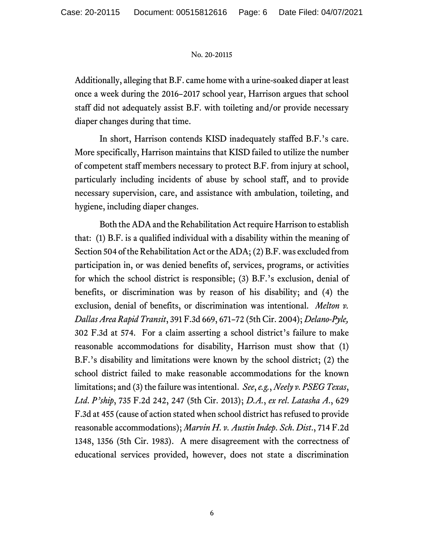Additionally, alleging that B.F. came home with a urine-soaked diaper at least once a week during the 2016–2017 school year, Harrison argues that school staff did not adequately assist B.F. with toileting and/or provide necessary diaper changes during that time.

In short, Harrison contends KISD inadequately staffed B.F.'s care. More specifically, Harrison maintains that KISD failed to utilize the number of competent staff members necessary to protect B.F. from injury at school, particularly including incidents of abuse by school staff, and to provide necessary supervision, care, and assistance with ambulation, toileting, and hygiene, including diaper changes.

Both the ADA and the Rehabilitation Act require Harrison to establish that: (1) B.F. is a qualified individual with a disability within the meaning of Section 504 of the Rehabilitation Act or the ADA; (2) B.F. was excluded from participation in, or was denied benefits of, services, programs, or activities for which the school district is responsible; (3) B.F.'s exclusion, denial of benefits, or discrimination was by reason of his disability; and (4) the exclusion, denial of benefits, or discrimination was intentional. *Melton v. Dallas Area Rapid Transit*, 391 F.3d 669, 671–72 (5th Cir. 2004); *Delano-Pyle,* 302 F.3d at 574. For a claim asserting a school district's failure to make reasonable accommodations for disability, Harrison must show that (1) B.F.'s disability and limitations were known by the school district; (2) the school district failed to make reasonable accommodations for the known limitations; and (3) the failure was intentional. *See*,*e.g.*, *Neely v. PSEG Texas*, *Ltd*. *P'ship*, 735 F.2d 242, 247 (5th Cir. 2013); *D.A.*, *ex rel*. *Latasha A*., 629 F.3d at 455 (cause of action stated when school district has refused to provide reasonable accommodations); *Marvin H*. *v. Austin Indep*. *Sch*. *Dist*., 714 F.2d 1348, 1356 (5th Cir. 1983). A mere disagreement with the correctness of educational services provided, however, does not state a discrimination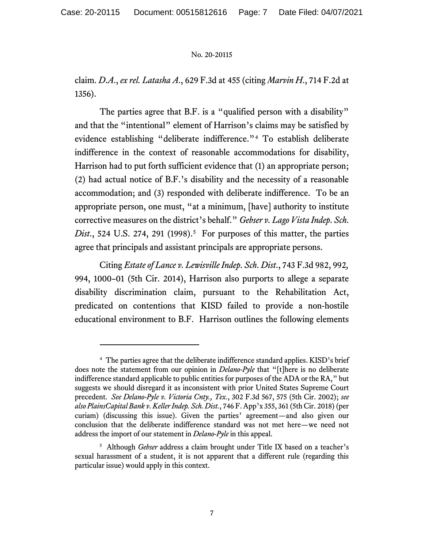claim. *D*.*A*., *ex rel. Latasha A*., 629 F.3d at 455 (citing *Marvin H*., 714 F.2d at 1356).

The parties agree that B.F. is a "qualified person with a disability" and that the "intentional" element of Harrison's claims may be satisfied by evidence establishing "deliberate indifference."[4](#page-6-0) To establish deliberate indifference in the context of reasonable accommodations for disability, Harrison had to put forth sufficient evidence that (1) an appropriate person; (2) had actual notice of B.F.'s disability and the necessity of a reasonable accommodation; and (3) responded with deliberate indifference. To be an appropriate person, one must, "at a minimum, [have] authority to institute corrective measures on the district's behalf." *Gebser v. Lago Vista Indep*. *Sch*. *Dist.*, [5](#page-6-1)24 U.S. 274, 291 (1998).<sup>5</sup> For purposes of this matter, the parties agree that principals and assistant principals are appropriate persons.

Citing *Estate of Lance v. Lewisville Indep*. *Sch*. *Dist*., 743 F.3d 982, 992*,*  994, 1000–01 (5th Cir. 2014), Harrison also purports to allege a separate disability discrimination claim, pursuant to the Rehabilitation Act, predicated on contentions that KISD failed to provide a non-hostile educational environment to B.F. Harrison outlines the following elements

<span id="page-6-0"></span><sup>4</sup> The parties agree that the deliberate indifference standard applies. KISD's brief does note the statement from our opinion in *Delano-Pyle* that "[t]here is no deliberate indifference standard applicable to public entities for purposes of the ADA or the RA," but suggests we should disregard it as inconsistent with prior United States Supreme Court precedent. *See Delano-Pyle v. Victoria Cnty., Tex.*, 302 F.3d 567, 575 (5th Cir. 2002); *see also PlainsCapital Bank v. Keller Indep. Sch. Dist.*, 746 F. App'x 355, 361 (5th Cir. 2018) (per curiam) (discussing this issue). Given the parties' agreement—and also given our conclusion that the deliberate indifference standard was not met here—we need not address the import of our statement in *Delano-Pyle* in this appeal.

<span id="page-6-1"></span><sup>&</sup>lt;sup>5</sup> Although *Gebser* address a claim brought under Title IX based on a teacher's sexual harassment of a student, it is not apparent that a different rule (regarding this particular issue) would apply in this context.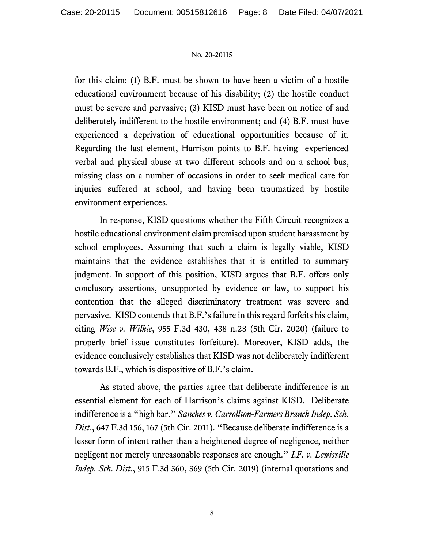for this claim: (1) B.F. must be shown to have been a victim of a hostile educational environment because of his disability; (2) the hostile conduct must be severe and pervasive; (3) KISD must have been on notice of and deliberately indifferent to the hostile environment; and (4) B.F. must have experienced a deprivation of educational opportunities because of it. Regarding the last element, Harrison points to B.F. having experienced verbal and physical abuse at two different schools and on a school bus, missing class on a number of occasions in order to seek medical care for injuries suffered at school, and having been traumatized by hostile environment experiences.

In response, KISD questions whether the Fifth Circuit recognizes a hostile educational environment claim premised upon student harassment by school employees. Assuming that such a claim is legally viable, KISD maintains that the evidence establishes that it is entitled to summary judgment. In support of this position, KISD argues that B.F. offers only conclusory assertions, unsupported by evidence or law, to support his contention that the alleged discriminatory treatment was severe and pervasive. KISD contends that B.F.'s failure in this regard forfeits his claim, citing *Wise v. Wilkie*, 955 F.3d 430, 438 n.28 (5th Cir. 2020) (failure to properly brief issue constitutes forfeiture). Moreover, KISD adds, the evidence conclusively establishes that KISD was not deliberately indifferent towards B.F., which is dispositive of B.F.'s claim.

As stated above, the parties agree that deliberate indifference is an essential element for each of Harrison's claims against KISD. Deliberate indifference is a "high bar." *Sanches v. Carrollton-Farmers Branch Indep*. *Sch*. *Dist*., 647 F.3d 156, 167 (5th Cir. 2011). "Because deliberate indifference is a lesser form of intent rather than a heightened degree of negligence, neither negligent nor merely unreasonable responses are enough." *I.F. v. Lewisville Indep*. *Sch*. *Dist.*, 915 F.3d 360, 369 (5th Cir. 2019) (internal quotations and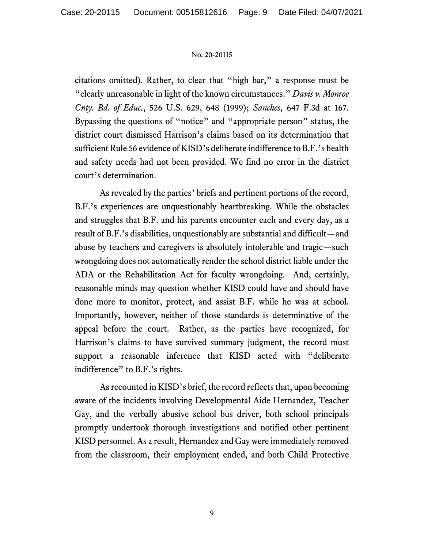citations omitted). Rather, to clear that "high bar," a response must be "clearly unreasonable in light of the known circumstances." *Davis v. Monroe Cnty. Bd. of Educ.*, 526 U.S. 629, 648 (1999); *Sanches,* 647 F.3d at 167. Bypassing the questions of "notice" and "appropriate person" status, the district court dismissed Harrison's claims based on its determination that sufficient Rule 56 evidence of KISD's deliberate indifference to B.F.'s health and safety needs had not been provided. We find no error in the district court's determination.

As revealed by the parties' briefs and pertinent portions of the record, B.F.'s experiences are unquestionably heartbreaking. While the obstacles and struggles that B.F. and his parents encounter each and every day, as a result of B.F.'s disabilities, unquestionably are substantial and difficult—and abuse by teachers and caregivers is absolutely intolerable and tragic—such wrongdoing does not automatically render the school district liable under the ADA or the Rehabilitation Act for faculty wrongdoing. And, certainly, reasonable minds may question whether KISD could have and should have done more to monitor, protect, and assist B.F. while he was at school. Importantly, however, neither of those standards is determinative of the appeal before the court. Rather, as the parties have recognized, for Harrison's claims to have survived summary judgment, the record must support a reasonable inference that KISD acted with "deliberate indifference" to B.F.'s rights.

As recounted in KISD's brief, the record reflects that, upon becoming aware of the incidents involving Developmental Aide Hernandez, Teacher Gay, and the verbally abusive school bus driver, both school principals promptly undertook thorough investigations and notified other pertinent KISD personnel. As a result, Hernandez and Gay were immediately removed from the classroom, their employment ended, and both Child Protective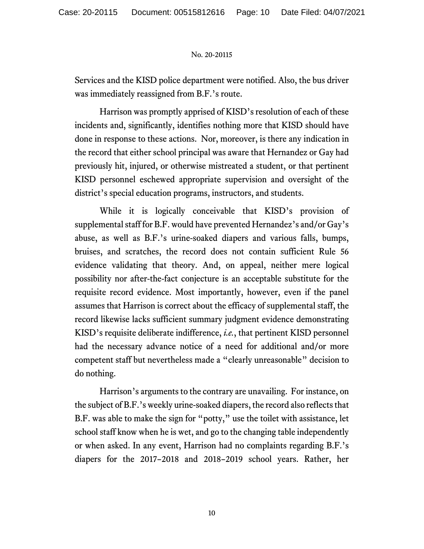Services and the KISD police department were notified. Also, the bus driver was immediately reassigned from B.F.'s route.

Harrison was promptly apprised of KISD's resolution of each of these incidents and, significantly, identifies nothing more that KISD should have done in response to these actions. Nor, moreover, is there any indication in the record that either school principal was aware that Hernandez or Gay had previously hit, injured, or otherwise mistreated a student, or that pertinent KISD personnel eschewed appropriate supervision and oversight of the district's special education programs, instructors, and students.

While it is logically conceivable that KISD's provision of supplemental staff for B.F. would have prevented Hernandez's and/or Gay's abuse, as well as B.F.'s urine-soaked diapers and various falls, bumps, bruises, and scratches, the record does not contain sufficient Rule 56 evidence validating that theory. And, on appeal, neither mere logical possibility nor after-the-fact conjecture is an acceptable substitute for the requisite record evidence. Most importantly, however, even if the panel assumes that Harrison is correct about the efficacy of supplemental staff, the record likewise lacks sufficient summary judgment evidence demonstrating KISD's requisite deliberate indifference, *i.e.*, that pertinent KISD personnel had the necessary advance notice of a need for additional and/or more competent staff but nevertheless made a "clearly unreasonable" decision to do nothing.

Harrison's arguments to the contrary are unavailing. For instance, on the subject of B.F.'s weekly urine-soaked diapers, the record also reflects that B.F. was able to make the sign for "potty," use the toilet with assistance, let school staff know when he is wet, and go to the changing table independently or when asked. In any event, Harrison had no complaints regarding B.F.'s diapers for the 2017–2018 and 2018–2019 school years. Rather, her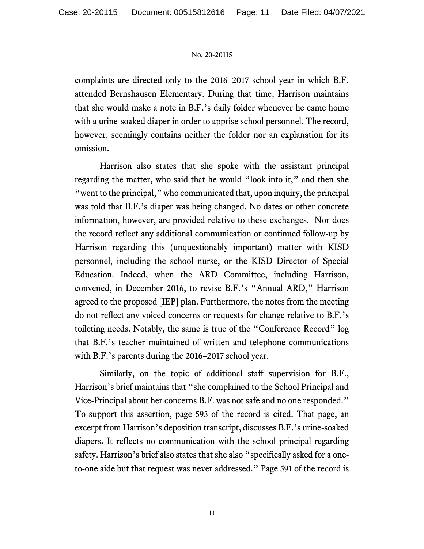complaints are directed only to the 2016–2017 school year in which B.F. attended Bernshausen Elementary. During that time, Harrison maintains that she would make a note in B.F.'s daily folder whenever he came home with a urine-soaked diaper in order to apprise school personnel. The record, however, seemingly contains neither the folder nor an explanation for its omission.

Harrison also states that she spoke with the assistant principal regarding the matter, who said that he would "look into it," and then she "went to the principal," who communicated that, upon inquiry, the principal was told that B.F.'s diaper was being changed. No dates or other concrete information, however, are provided relative to these exchanges. Nor does the record reflect any additional communication or continued follow-up by Harrison regarding this (unquestionably important) matter with KISD personnel, including the school nurse, or the KISD Director of Special Education. Indeed, when the ARD Committee, including Harrison, convened, in December 2016, to revise B.F.'s "Annual ARD," Harrison agreed to the proposed [IEP] plan. Furthermore, the notes from the meeting do not reflect any voiced concerns or requests for change relative to B.F.'s toileting needs. Notably, the same is true of the "Conference Record" log that B.F.'s teacher maintained of written and telephone communications with B.F.'s parents during the 2016–2017 school year.

Similarly, on the topic of additional staff supervision for B.F., Harrison's brief maintains that "she complained to the School Principal and Vice-Principal about her concerns B.F. was not safe and no one responded." To support this assertion, page 593 of the record is cited. That page, an excerpt from Harrison's deposition transcript, discusses B.F.'s urine-soaked diapers**.** It reflects no communication with the school principal regarding safety. Harrison's brief also states that she also "specifically asked for a oneto-one aide but that request was never addressed." Page 591 of the record is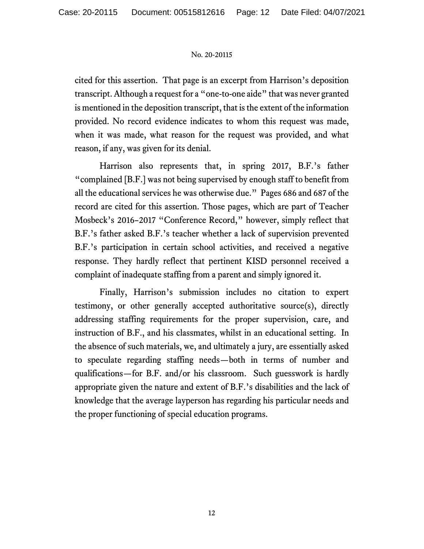cited for this assertion. That page is an excerpt from Harrison's deposition transcript. Although a request for a "one-to-one aide" that was never granted is mentioned in the deposition transcript, that is the extent of the information provided. No record evidence indicates to whom this request was made, when it was made, what reason for the request was provided, and what reason, if any, was given for its denial.

Harrison also represents that, in spring 2017, B.F.'s father "complained [B.F.] was not being supervised by enough staff to benefit from all the educational services he was otherwise due." Pages 686 and 687 of the record are cited for this assertion. Those pages, which are part of Teacher Mosbeck's 2016–2017 "Conference Record," however, simply reflect that B.F.'s father asked B.F.'s teacher whether a lack of supervision prevented B.F.'s participation in certain school activities, and received a negative response. They hardly reflect that pertinent KISD personnel received a complaint of inadequate staffing from a parent and simply ignored it.

Finally, Harrison's submission includes no citation to expert testimony, or other generally accepted authoritative source(s), directly addressing staffing requirements for the proper supervision, care, and instruction of B.F., and his classmates, whilst in an educational setting. In the absence of such materials, we, and ultimately a jury, are essentially asked to speculate regarding staffing needs—both in terms of number and qualifications—for B.F. and/or his classroom. Such guesswork is hardly appropriate given the nature and extent of B.F.'s disabilities and the lack of knowledge that the average layperson has regarding his particular needs and the proper functioning of special education programs.